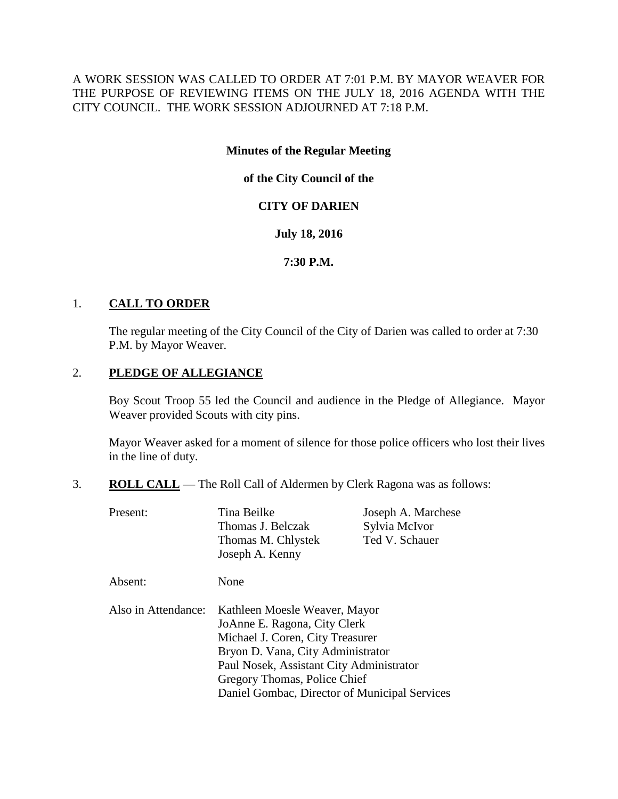A WORK SESSION WAS CALLED TO ORDER AT 7:01 P.M. BY MAYOR WEAVER FOR THE PURPOSE OF REVIEWING ITEMS ON THE JULY 18, 2016 AGENDA WITH THE CITY COUNCIL. THE WORK SESSION ADJOURNED AT 7:18 P.M.

## **Minutes of the Regular Meeting**

**of the City Council of the**

## **CITY OF DARIEN**

## **July 18, 2016**

## **7:30 P.M.**

## 1. **CALL TO ORDER**

The regular meeting of the City Council of the City of Darien was called to order at 7:30 P.M. by Mayor Weaver.

## 2. **PLEDGE OF ALLEGIANCE**

Boy Scout Troop 55 led the Council and audience in the Pledge of Allegiance. Mayor Weaver provided Scouts with city pins.

Mayor Weaver asked for a moment of silence for those police officers who lost their lives in the line of duty.

3. **ROLL CALL** — The Roll Call of Aldermen by Clerk Ragona was as follows:

| Present:            | Tina Beilke<br>Thomas J. Belczak                                                                                                                                                                                   | Joseph A. Marchese<br>Sylvia McIvor |
|---------------------|--------------------------------------------------------------------------------------------------------------------------------------------------------------------------------------------------------------------|-------------------------------------|
|                     | Thomas M. Chlystek<br>Joseph A. Kenny                                                                                                                                                                              | Ted V. Schauer                      |
| Absent:             | None                                                                                                                                                                                                               |                                     |
| Also in Attendance: | Kathleen Moesle Weaver, Mayor<br>JoAnne E. Ragona, City Clerk<br>Michael J. Coren, City Treasurer<br>Bryon D. Vana, City Administrator<br>Paul Nosek, Assistant City Administrator<br>Gregory Thomas, Police Chief |                                     |
|                     | Daniel Gombac, Director of Municipal Services                                                                                                                                                                      |                                     |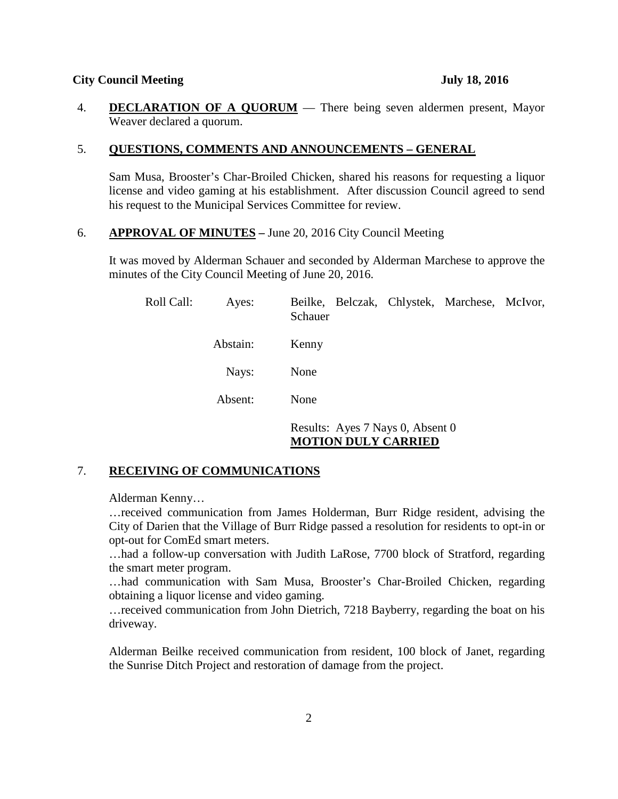#### **City Council Meeting July 18, 2016**

4. **DECLARATION OF A QUORUM** — There being seven aldermen present, Mayor Weaver declared a quorum.

#### 5. **QUESTIONS, COMMENTS AND ANNOUNCEMENTS – GENERAL**

Sam Musa, Brooster's Char-Broiled Chicken, shared his reasons for requesting a liquor license and video gaming at his establishment. After discussion Council agreed to send his request to the Municipal Services Committee for review.

## 6. **APPROVAL OF MINUTES –** June 20, 2016 City Council Meeting

It was moved by Alderman Schauer and seconded by Alderman Marchese to approve the minutes of the City Council Meeting of June 20, 2016.

| Roll Call: | Ayes:    | Beilke, Belczak, Chlystek, Marchese, McIvor,<br>Schauer        |
|------------|----------|----------------------------------------------------------------|
|            | Abstain: | Kenny                                                          |
|            | Nays:    | None                                                           |
|            | Absent:  | None                                                           |
|            |          | Results: Ayes 7 Nays 0, Absent 0<br><b>MOTION DULY CARRIED</b> |

### 7. **RECEIVING OF COMMUNICATIONS**

Alderman Kenny…

…received communication from James Holderman, Burr Ridge resident, advising the City of Darien that the Village of Burr Ridge passed a resolution for residents to opt-in or opt-out for ComEd smart meters.

…had a follow-up conversation with Judith LaRose, 7700 block of Stratford, regarding the smart meter program.

…had communication with Sam Musa, Brooster's Char-Broiled Chicken, regarding obtaining a liquor license and video gaming.

…received communication from John Dietrich, 7218 Bayberry, regarding the boat on his driveway.

Alderman Beilke received communication from resident, 100 block of Janet, regarding the Sunrise Ditch Project and restoration of damage from the project.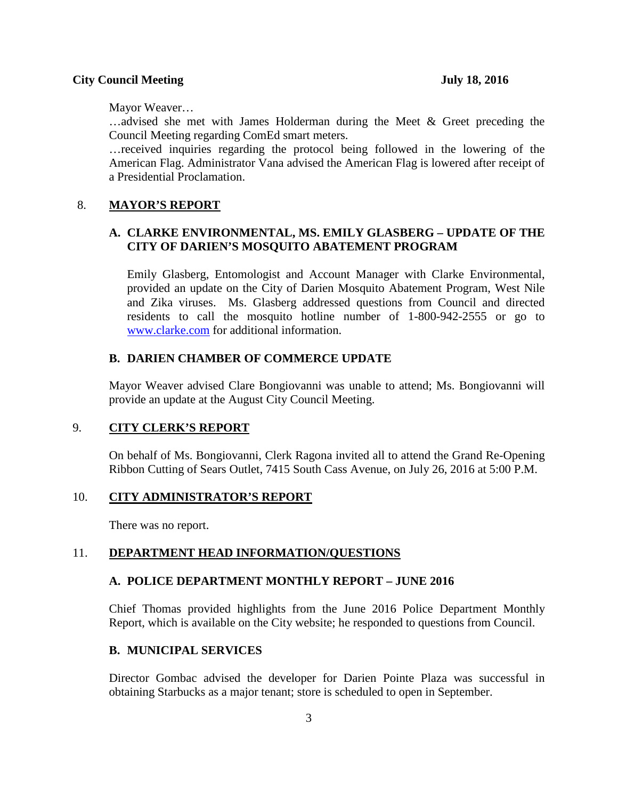Mayor Weaver…

…advised she met with James Holderman during the Meet & Greet preceding the Council Meeting regarding ComEd smart meters.

…received inquiries regarding the protocol being followed in the lowering of the American Flag. Administrator Vana advised the American Flag is lowered after receipt of a Presidential Proclamation.

### 8. **MAYOR'S REPORT**

# **A. CLARKE ENVIRONMENTAL, MS. EMILY GLASBERG – UPDATE OF THE CITY OF DARIEN'S MOSQUITO ABATEMENT PROGRAM**

Emily Glasberg, Entomologist and Account Manager with Clarke Environmental, provided an update on the City of Darien Mosquito Abatement Program, West Nile and Zika viruses. Ms. Glasberg addressed questions from Council and directed residents to call the mosquito hotline number of 1-800-942-2555 or go to [www.clarke.com](http://www.clarke.com/) for additional information.

#### **B. DARIEN CHAMBER OF COMMERCE UPDATE**

Mayor Weaver advised Clare Bongiovanni was unable to attend; Ms. Bongiovanni will provide an update at the August City Council Meeting.

## 9. **CITY CLERK'S REPORT**

On behalf of Ms. Bongiovanni, Clerk Ragona invited all to attend the Grand Re-Opening Ribbon Cutting of Sears Outlet, 7415 South Cass Avenue, on July 26, 2016 at 5:00 P.M.

#### 10. **CITY ADMINISTRATOR'S REPORT**

There was no report.

#### 11. **DEPARTMENT HEAD INFORMATION/QUESTIONS**

#### **A. POLICE DEPARTMENT MONTHLY REPORT – JUNE 2016**

Chief Thomas provided highlights from the June 2016 Police Department Monthly Report, which is available on the City website; he responded to questions from Council.

### **B. MUNICIPAL SERVICES**

Director Gombac advised the developer for Darien Pointe Plaza was successful in obtaining Starbucks as a major tenant; store is scheduled to open in September.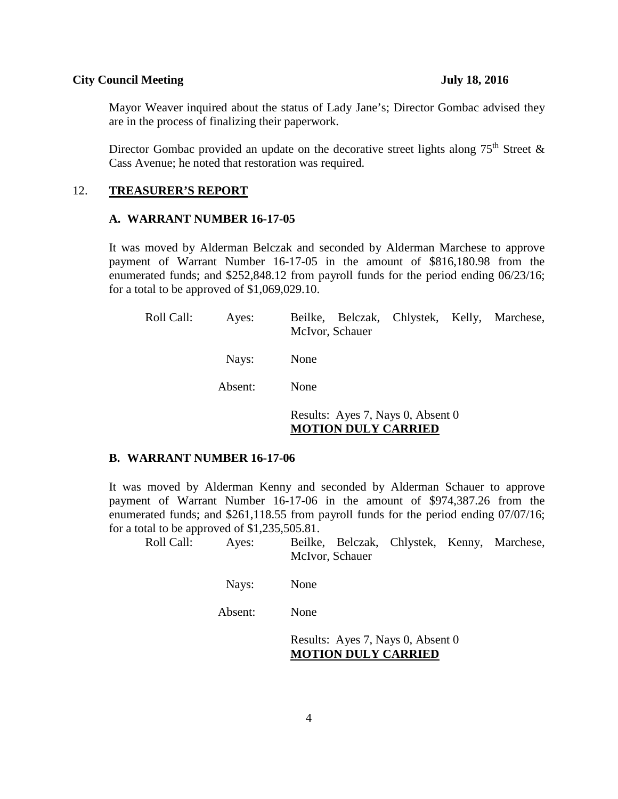#### **City Council Meeting July 18, 2016**

Mayor Weaver inquired about the status of Lady Jane's; Director Gombac advised they are in the process of finalizing their paperwork.

Director Gombac provided an update on the decorative street lights along  $75<sup>th</sup>$  Street & Cass Avenue; he noted that restoration was required.

#### 12. **TREASURER'S REPORT**

#### **A. WARRANT NUMBER 16-17-05**

It was moved by Alderman Belczak and seconded by Alderman Marchese to approve payment of Warrant Number 16-17-05 in the amount of \$816,180.98 from the enumerated funds; and \$252,848.12 from payroll funds for the period ending 06/23/16; for a total to be approved of \$1,069,029.10.

| Roll Call: | Ayes:   | Beilke, Belczak, Chlystek, Kelly, Marchese,<br>McIvor, Schauer  |  |  |
|------------|---------|-----------------------------------------------------------------|--|--|
|            | Nays:   | None                                                            |  |  |
|            | Absent: | None                                                            |  |  |
|            |         | Results: Ayes 7, Nays 0, Absent 0<br><b>MOTION DULY CARRIED</b> |  |  |

#### **B. WARRANT NUMBER 16-17-06**

It was moved by Alderman Kenny and seconded by Alderman Schauer to approve payment of Warrant Number 16-17-06 in the amount of \$974,387.26 from the enumerated funds; and \$261,118.55 from payroll funds for the period ending 07/07/16; for a total to be approved of \$1,235,505.81.

Roll Call: Ayes: Beilke, Belczak, Chlystek, Kenny, Marchese, McIvor, Schauer

Nays: None

Absent: None

Results: Ayes 7, Nays 0, Absent 0 **MOTION DULY CARRIED**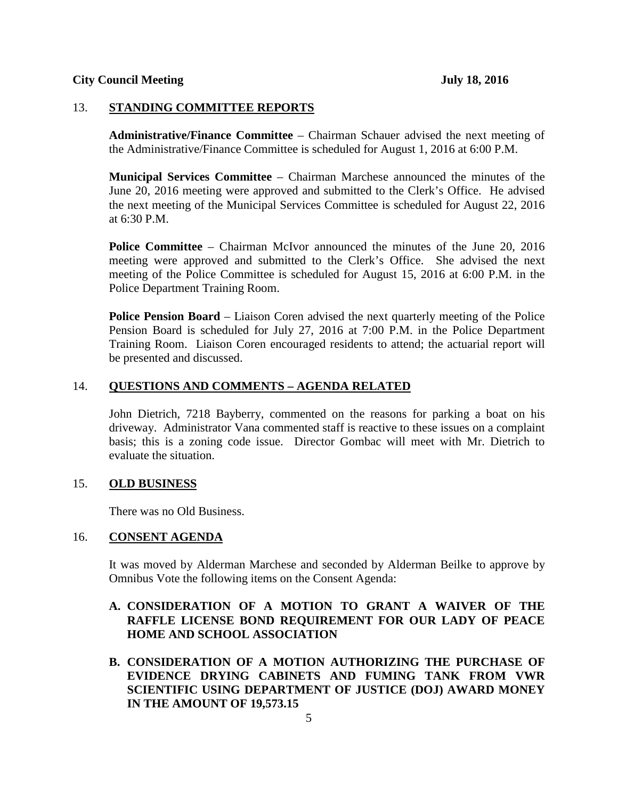## 13. **STANDING COMMITTEE REPORTS**

**Administrative/Finance Committee** – Chairman Schauer advised the next meeting of the Administrative/Finance Committee is scheduled for August 1, 2016 at 6:00 P.M.

**Municipal Services Committee** – Chairman Marchese announced the minutes of the June 20, 2016 meeting were approved and submitted to the Clerk's Office. He advised the next meeting of the Municipal Services Committee is scheduled for August 22, 2016 at 6:30 P.M.

**Police Committee** – Chairman McIvor announced the minutes of the June 20, 2016 meeting were approved and submitted to the Clerk's Office. She advised the next meeting of the Police Committee is scheduled for August 15, 2016 at 6:00 P.M. in the Police Department Training Room.

**Police Pension Board** – Liaison Coren advised the next quarterly meeting of the Police Pension Board is scheduled for July 27, 2016 at 7:00 P.M. in the Police Department Training Room. Liaison Coren encouraged residents to attend; the actuarial report will be presented and discussed.

## 14. **QUESTIONS AND COMMENTS – AGENDA RELATED**

John Dietrich, 7218 Bayberry, commented on the reasons for parking a boat on his driveway. Administrator Vana commented staff is reactive to these issues on a complaint basis; this is a zoning code issue. Director Gombac will meet with Mr. Dietrich to evaluate the situation.

## 15. **OLD BUSINESS**

There was no Old Business.

### 16. **CONSENT AGENDA**

It was moved by Alderman Marchese and seconded by Alderman Beilke to approve by Omnibus Vote the following items on the Consent Agenda:

## **A. CONSIDERATION OF A MOTION TO GRANT A WAIVER OF THE RAFFLE LICENSE BOND REQUIREMENT FOR OUR LADY OF PEACE HOME AND SCHOOL ASSOCIATION**

**B. CONSIDERATION OF A MOTION AUTHORIZING THE PURCHASE OF EVIDENCE DRYING CABINETS AND FUMING TANK FROM VWR SCIENTIFIC USING DEPARTMENT OF JUSTICE (DOJ) AWARD MONEY IN THE AMOUNT OF 19,573.15**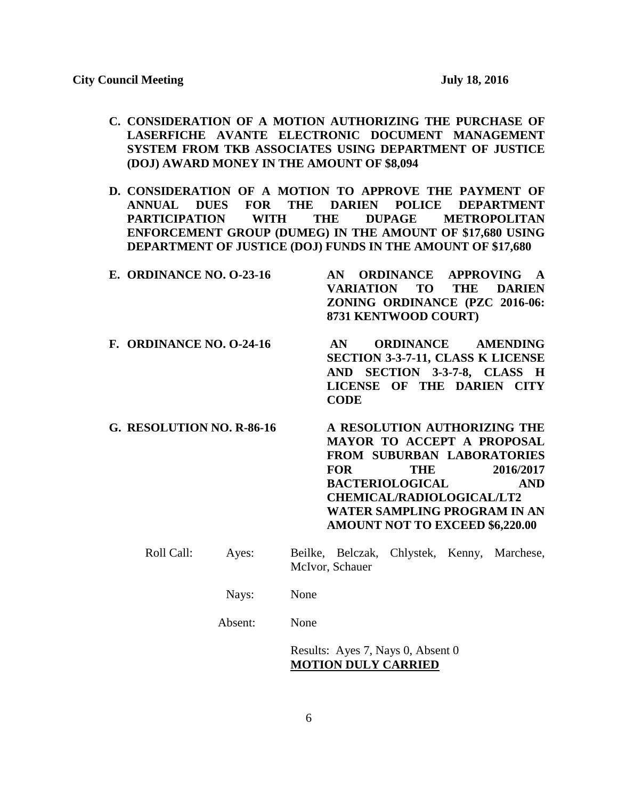- **C. CONSIDERATION OF A MOTION AUTHORIZING THE PURCHASE OF LASERFICHE AVANTE ELECTRONIC DOCUMENT MANAGEMENT SYSTEM FROM TKB ASSOCIATES USING DEPARTMENT OF JUSTICE (DOJ) AWARD MONEY IN THE AMOUNT OF \$8,094**
- **D. CONSIDERATION OF A MOTION TO APPROVE THE PAYMENT OF ANNUAL DUES FOR THE DARIEN POLICE DEPARTMENT PARTICIPATION WITH THE DUPAGE METROPOLITAN ENFORCEMENT GROUP (DUMEG) IN THE AMOUNT OF \$17,680 USING DEPARTMENT OF JUSTICE (DOJ) FUNDS IN THE AMOUNT OF \$17,680**

| <b>E. ORDINANCE NO. 0-23-16</b> | AN ORDINANCE APPROVING A              |
|---------------------------------|---------------------------------------|
|                                 | VARIATION TO THE DARIEN               |
|                                 | <b>ZONING ORDINANCE (PZC 2016-06:</b> |
|                                 | 8731 KENTWOOD COURT)                  |
|                                 |                                       |

- **F. ORDINANCE NO. O-24-16 AN ORDINANCE AMENDING SECTION 3-3-7-11, CLASS K LICENSE AND SECTION 3-3-7-8, CLASS H LICENSE OF THE DARIEN CITY CODE**
- **G. RESOLUTION NO. R-86-16 A RESOLUTION AUTHORIZING THE MAYOR TO ACCEPT A PROPOSAL FROM SUBURBAN LABORATORIES FOR THE 2016/2017 BACTERIOLOGICAL AND CHEMICAL/RADIOLOGICAL/LT2 WATER SAMPLING PROGRAM IN AN AMOUNT NOT TO EXCEED \$6,220.00**
	- Roll Call: Ayes: Beilke, Belczak, Chlystek, Kenny, Marchese, McIvor, Schauer
		- Nays: None

Absent: None

Results: Ayes 7, Nays 0, Absent 0 **MOTION DULY CARRIED**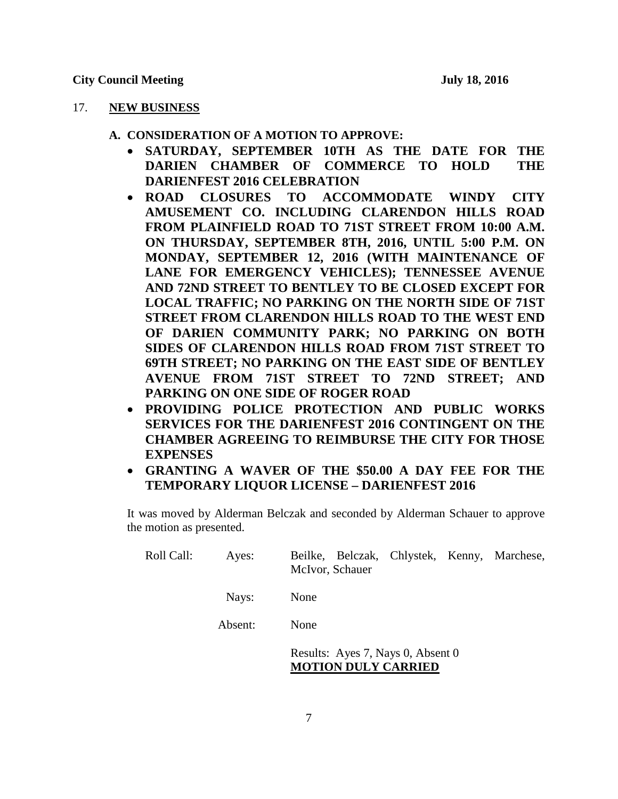### 17. **NEW BUSINESS**

- **A. CONSIDERATION OF A MOTION TO APPROVE:**
	- **SATURDAY, SEPTEMBER 10TH AS THE DATE FOR THE DARIEN CHAMBER OF COMMERCE TO HOLD THE DARIENFEST 2016 CELEBRATION**
	- **ROAD CLOSURES TO ACCOMMODATE WINDY CITY AMUSEMENT CO. INCLUDING CLARENDON HILLS ROAD FROM PLAINFIELD ROAD TO 71ST STREET FROM 10:00 A.M. ON THURSDAY, SEPTEMBER 8TH, 2016, UNTIL 5:00 P.M. ON MONDAY, SEPTEMBER 12, 2016 (WITH MAINTENANCE OF LANE FOR EMERGENCY VEHICLES); TENNESSEE AVENUE AND 72ND STREET TO BENTLEY TO BE CLOSED EXCEPT FOR LOCAL TRAFFIC; NO PARKING ON THE NORTH SIDE OF 71ST STREET FROM CLARENDON HILLS ROAD TO THE WEST END OF DARIEN COMMUNITY PARK; NO PARKING ON BOTH SIDES OF CLARENDON HILLS ROAD FROM 71ST STREET TO 69TH STREET; NO PARKING ON THE EAST SIDE OF BENTLEY AVENUE FROM 71ST STREET TO 72ND STREET; AND PARKING ON ONE SIDE OF ROGER ROAD**
	- **PROVIDING POLICE PROTECTION AND PUBLIC WORKS SERVICES FOR THE DARIENFEST 2016 CONTINGENT ON THE CHAMBER AGREEING TO REIMBURSE THE CITY FOR THOSE EXPENSES**
	- **GRANTING A WAVER OF THE \$50.00 A DAY FEE FOR THE TEMPORARY LIQUOR LICENSE – DARIENFEST 2016**

It was moved by Alderman Belczak and seconded by Alderman Schauer to approve the motion as presented.

| Roll Call: | Ayes:   | Beilke, Belczak, Chlystek, Kenny, Marchese,<br>McIvor, Schauer  |
|------------|---------|-----------------------------------------------------------------|
|            | Nays:   | None                                                            |
|            | Absent: | None                                                            |
|            |         | Results: Ayes 7, Nays 0, Absent 0<br><b>MOTION DULY CARRIED</b> |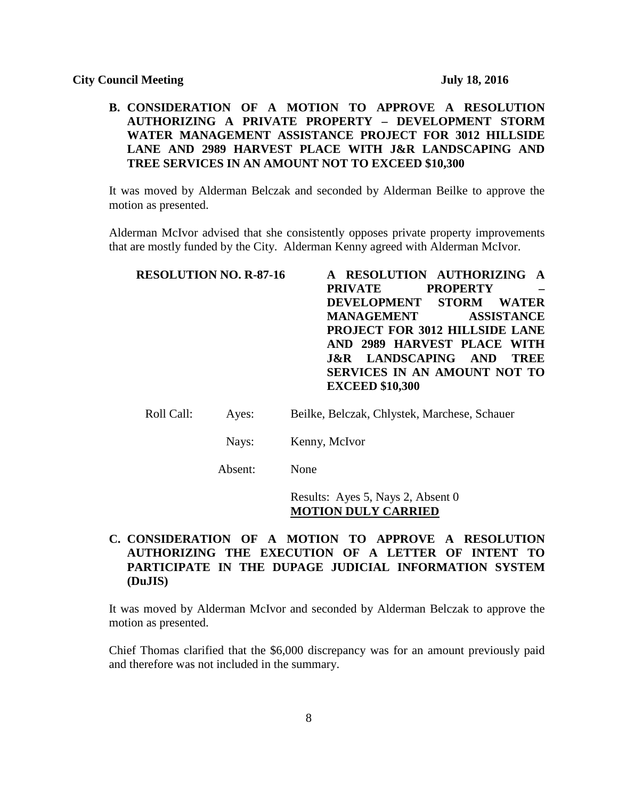## **B. CONSIDERATION OF A MOTION TO APPROVE A RESOLUTION AUTHORIZING A PRIVATE PROPERTY – DEVELOPMENT STORM WATER MANAGEMENT ASSISTANCE PROJECT FOR 3012 HILLSIDE LANE AND 2989 HARVEST PLACE WITH J&R LANDSCAPING AND TREE SERVICES IN AN AMOUNT NOT TO EXCEED \$10,300**

It was moved by Alderman Belczak and seconded by Alderman Beilke to approve the motion as presented.

Alderman McIvor advised that she consistently opposes private property improvements that are mostly funded by the City. Alderman Kenny agreed with Alderman McIvor.

| <b>RESOLUTION NO. R-87-16</b> | A RESOLUTION AUTHORIZING A                    |
|-------------------------------|-----------------------------------------------|
|                               | <b>PROPERTY</b><br><b>PRIVATE</b>             |
|                               | DEVELOPMENT STORM WATER                       |
|                               | <b>MANAGEMENT</b><br><b>ASSISTANCE</b>        |
|                               | PROJECT FOR 3012 HILLSIDE LANE                |
|                               | AND 2989 HARVEST PLACE WITH                   |
|                               | <b>J&amp;R LANDSCAPING AND</b><br><b>TREE</b> |
|                               | <b>SERVICES IN AN AMOUNT NOT TO</b>           |
|                               | <b>EXCEED \$10,300</b>                        |
|                               |                                               |

Roll Call: Ayes: Beilke, Belczak, Chlystek, Marchese, Schauer

Nays: Kenny, McIvor

Absent: None

Results: Ayes 5, Nays 2, Absent 0 **MOTION DULY CARRIED**

# **C. CONSIDERATION OF A MOTION TO APPROVE A RESOLUTION AUTHORIZING THE EXECUTION OF A LETTER OF INTENT TO PARTICIPATE IN THE DUPAGE JUDICIAL INFORMATION SYSTEM (DuJIS)**

It was moved by Alderman McIvor and seconded by Alderman Belczak to approve the motion as presented.

Chief Thomas clarified that the \$6,000 discrepancy was for an amount previously paid and therefore was not included in the summary.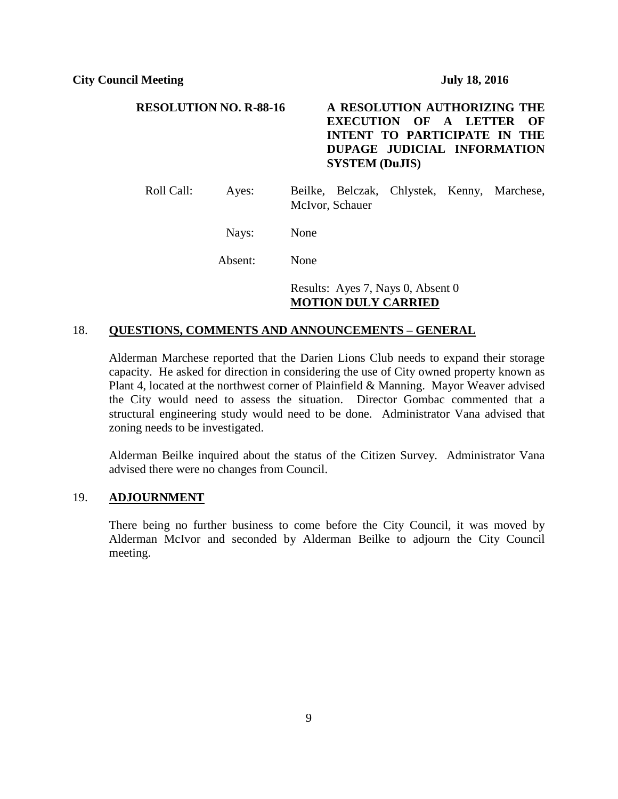# **RESOLUTION NO. R-88-16 A RESOLUTION AUTHORIZING THE EXECUTION OF A LETTER OF INTENT TO PARTICIPATE IN THE DUPAGE JUDICIAL INFORMATION SYSTEM (DuJIS)**

Roll Call: Ayes: Beilke, Belczak, Chlystek, Kenny, Marchese, McIvor, Schauer

Nays: None

Absent: None

Results: Ayes 7, Nays 0, Absent 0 **MOTION DULY CARRIED**

## 18. **QUESTIONS, COMMENTS AND ANNOUNCEMENTS – GENERAL**

Alderman Marchese reported that the Darien Lions Club needs to expand their storage capacity. He asked for direction in considering the use of City owned property known as Plant 4, located at the northwest corner of Plainfield & Manning. Mayor Weaver advised the City would need to assess the situation. Director Gombac commented that a structural engineering study would need to be done. Administrator Vana advised that zoning needs to be investigated.

Alderman Beilke inquired about the status of the Citizen Survey. Administrator Vana advised there were no changes from Council.

#### 19. **ADJOURNMENT**

There being no further business to come before the City Council, it was moved by Alderman McIvor and seconded by Alderman Beilke to adjourn the City Council meeting.